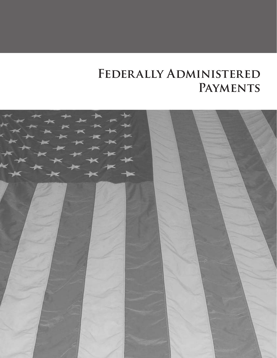# **Federally Administered Payments**

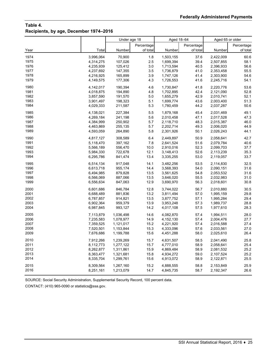# **Table 4. Recipients, by age, December 1974–2016**

|      |           | Under age 18 |            | Aged 18-64 |            | Aged 65 or older |            |
|------|-----------|--------------|------------|------------|------------|------------------|------------|
|      |           |              | Percentage |            | Percentage |                  | Percentage |
| Year | Total     | Number       | of total   | Number     | of total   | Number           | of total   |
| 1974 | 3,996,064 | 70,900       | 1.8        | 1,503,155  | 37.6       | 2,422,009        | 60.6       |
| 1975 | 4,314,275 | 107,026      | 2.5        | 1,699,394  | 39.4       | 2,507,855        | 58.1       |
| 1976 | 4,235,939 | 125,412      | 3.0        | 1,713,594  | 40.5       | 2,396,933        | 56.6       |
| 1977 | 4,237,692 | 147,355      | 3.5        | 1,736,879  | 41.0       | 2,353,458        | 55.5       |
| 1978 | 4,216,925 | 165,899      | 3.9        | 1,747,126  | 41.4       | 2,303,900        | 54.6       |
| 1979 | 4,149,575 | 177,306      | 4.3        | 1,726,553  | 41.6       | 2,245,716        | 54.1       |
| 1980 | 4,142,017 | 190,394      | 4.6        | 1,730,847  | 41.8       | 2,220,776        | 53.6       |
| 1981 | 4,018,875 | 194,890      | 4.8        | 1,702,895  | 42.4       | 2,121,090        | 52.8       |
| 1982 | 3,857,590 | 191,570      | 5.0        | 1,655,279  | 42.9       | 2,010,741        | 52.1       |
| 1983 | 3,901,497 | 198,323      | 5.1        | 1,699,774  | 43.6       | 2,003,400        | 51.3       |
| 1984 | 4,029,333 | 211,587      | 5.3        | 1,780,459  | 44.2       | 2,037,287        | 50.6       |
| 1985 | 4,138,021 | 227,384      | 5.5        | 1,879,168  | 45.4       | 2,031,469        | 49.1       |
| 1986 | 4,269,184 | 241,198      | 5.6        | 2,010,458  | 47.1       | 2,017,528        | 47.3       |
| 1987 | 4,384,999 | 250,902      | 5.7        | 2,118,710  | 48.3       | 2,015,387        | 46.0       |
| 1988 | 4,463,869 | 255,135      | 5.7        | 2,202,714  | 49.3       | 2,006,020        | 44.9       |
| 1989 | 4,593,059 | 264,890      | 5.8        | 2,301,926  | 50.1       | 2,026,243        | 44.1       |
| 1990 | 4,817,127 | 308,589      | 6.4        | 2,449,897  | 50.9       | 2,058,641        | 42.7       |
| 1991 | 5,118,470 | 397,162      | 7.8        | 2,641,524  | 51.6       | 2,079,784        | 40.6       |
| 1992 | 5,566,189 | 556,470      | 10.0       | 2,910,016  | 52.3       | 2,099,703        | 37.7       |
| 1993 | 5,984,330 | 722,678      | 12.1       | 3,148,413  | 52.6       | 2,113,239        | 35.3       |
| 1994 | 6,295,786 | 841,474      | 13.4       | 3,335,255  | 53.0       | 2,119,057        | 33.7       |
| 1995 | 6,514,134 | 917,048      | 14.1       | 3,482,256  | 53.5       | 2,114,830        | 32.5       |
| 1996 | 6,613,718 | 955,174      | 14.4       | 3,568,393  | 54.0       | 2,090,151        | 31.6       |
| 1997 | 6,494,985 | 879,828      | 13.5       | 3,561,625  | 54.8       | 2,053,532        | 31.6       |
| 1998 | 6,566,069 | 887,066      | 13.5       | 3,646,020  | 55.5       | 2,032,983        | 31.0       |
| 1999 | 6,556,634 | 847,063      | 12.9       | 3,690,970  | 56.3       | 2,018,601        | 30.8       |
| 2000 | 6,601,686 | 846,784      | 12.8       | 3,744,022  | 56.7       | 2,010,880        | 30.5       |
| 2001 | 6,688,489 | 881,836      | 13.2       | 3,811,494  | 57.0       | 1,995,159        | 29.8       |
| 2002 | 6,787,857 | 914,821      | 13.5       | 3,877,752  | 57.1       | 1,995,284        | 29.4       |
| 2003 | 6,902,364 | 959,379      | 13.9       | 3,953,248  | 57.3       | 1,989,737        | 28.8       |
| 2004 | 6,987,845 | 993,127      | 14.2       | 4,017,108  | 57.5       | 1,977,610        | 28.3       |
| 2005 | 7,113,879 | 1,036,498    | 14.6       | 4,082,870  | 57.4       | 1,994,511        | 28.0       |
| 2006 | 7,235,583 | 1,078,977    | 14.9       | 4,152,130  | 57.4       | 2,004,476        | 27.7       |
| 2007 | 7,359,525 | 1,121,017    | 15.2       | 4,221,920  | 57.4       | 2,016,588        | 27.4       |
| 2008 | 7,520,501 | 1,153,844    | 15.3       | 4,333,096  | 57.6       | 2,033,561        | 27.0       |
| 2009 | 7,676,686 | 1,199,788    | 15.6       | 4,451,288  | 58.0       | 2,025,610        | 26.4       |
| 2010 | 7,912,266 | 1,239,269    | 15.7       | 4,631,507  | 58.5       | 2,041,490        | 25.8       |
| 2011 | 8,112,773 | 1,277,122    | 15.7       | 4,777,010  | 58.9       | 2,058,641        | 25.4       |
| 2012 | 8,262,877 | 1,311,861    | 15.9       | 4,869,484  | 58.9       | 2,081,532        | 25.2       |
| 2013 | 8,363,477 | 1,321,681    | 15.8       | 4,934,272  | 59.0       | 2,107,524        | 25.2       |
| 2014 | 8,335,704 | 1,299,761    | 15.6       | 4,913,072  | 58.9       | 2,122,871        | 25.5       |
| 2015 | 8,309,564 | 1,267,160    | 15.2       | 4,888,555  | 58.8       | 2,153,849        | 25.9       |
| 2016 | 8,251,161 | 1,213,079    | 14.7       | 4,845,735  | 58.7       | 2,192,347        | 26.6       |

SOURCE: Social Security Administration, Supplemental Security Record, 100 percent data.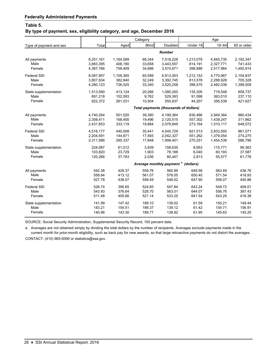#### **Table 5.**

#### **By type of payment, sex, eligibility category, and age, December 2016**

|                            |                        |                      | Category         |                                                |                      | Age                    |                      |
|----------------------------|------------------------|----------------------|------------------|------------------------------------------------|----------------------|------------------------|----------------------|
| Type of payment and sex    | Total                  | Aged                 | <b>Blind</b>     | Disabled                                       | Under 18             | $18 - 64$              | 65 or older          |
|                            |                        |                      |                  | <b>Number</b>                                  |                      |                        |                      |
| All payments<br>Male       | 8,251,161<br>3,883,395 | 1,164,589<br>406,180 | 68,344<br>33,658 | 7,018,228<br>3,443,557                         | 1,213,079<br>814,191 | 4,845,735<br>2,327,771 | 2,192,347<br>741,433 |
| Female                     | 4,367,766              | 758,409              | 34,686           | 3,574,671                                      | 398,888              | 2,517,964              | 1,450,914            |
| <b>Federal SSI</b><br>Male | 8,087,957<br>3,807,834 | 1,109,365<br>382,840 | 65,589<br>32,249 | 6,913,003<br>3,392,745                         | 1,212,153<br>813,578 | 4,770,967<br>2,288,928 | 2,104,837<br>705,328 |
| Female                     | 4,280,123              | 726,525              | 33,340           | 3,520,258                                      | 398,575              | 2,482,039              | 1,399,509            |
| State supplementation      | 1,513,590              | 413,124              | 20,266           | 1,080,200                                      | 135,305              | 719,548                | 658,737              |
| Male<br>Female             | 691,218<br>822,372     | 152,093<br>261,031   | 9,762<br>10,504  | 529,363<br>550,837                             | 91,098<br>44,207     | 363,010<br>356,538     | 237,110<br>421,627   |
|                            |                        |                      |                  | <b>Total payments (thousands of dollars)</b>   |                      |                        |                      |
| All payments               | 4,740,264              | 501,520              | 39,380           | 4,199,364                                      | 830,466              | 2,949,364              | 960,434              |
| Male                       | 2,308,411              | 168,400              | 19,496           | 2,120,515                                      | 557,302              | 1,439,247              | 311,862              |
| Female                     | 2,431,853              | 333,119              | 19,884           | 2,078,849                                      | 273,164              | 1,510,117              | 648,572              |
| <b>Federal SSI</b>         | 4,516,177              | 440,008              | 35,441           | 4,040,729                                      | 821,513              | 2,833,593              | 861,071              |
| Male                       | 2,204,591              | 144,671              | 17,593           | 2,042,327                                      | 551,262              | 1,379,054              | 274,275              |
| Female                     | 2,311,586              | 295,337              | 17,848           | 1,998,401                                      | 270,251              | 1,454,539              | 586,796              |
| State supplementation      | 224,087                | 61,512               | 3,939            | 158,635                                        | 8,953                | 115,771                | 99,363               |
| Male                       | 103,820                | 23,729               | 1,903            | 78,188                                         | 6,040                | 60,193                 | 37,587               |
| Female                     | 120,266                | 37,783               | 2,036            | 80,447                                         | 2,913                | 55,577                 | 61,776               |
|                            |                        |                      |                  | Average monthly payment <sup>a</sup> (dollars) |                      |                        |                      |
| All payments               | 542.38                 | 429.37               | 559.76           | 560.99                                         | 649.58               | 563.49                 | 436.76               |
| Male                       | 558.84                 | 413.12               | 561.07           | 576.05                                         | 650.40               | 571.54                 | 418.93               |
| Female                     | 527.78                 | 438.07               | 558.49           | 546.52                                         | 647.90               | 556.07                 | 445.86               |
| <b>Federal SSI</b>         | 526.74                 | 395.65               | 524.85           | 547.84                                         | 643.24               | 549.72                 | 408.01               |
| Male                       | 543.93                 | 376.64               | 528.70           | 563.01                                         | 644.07               | 556.76                 | 387.43               |
| Female                     | 511.48                 | 405.66               | 521.14           | 533.25                                         | 641.54               | 543.25                 | 418.38               |
| State supplementation      | 141.99                 | 147.42               | 189.10           | 139.02                                         | 61.59                | 150.21                 | 149.44               |
| Male                       | 143.21                 | 154.51               | 188.37           | 139.12                                         | 61.42                | 154.71                 | 156.91               |
| Female                     | 140.96                 | 143.30               | 189.77           | 138.92                                         | 61.95                | 145.63                 | 145.25               |

SOURCE: Social Security Administration, Supplemental Security Record, 100 percent data.

a. Averages are not obtained simply by dividing the total dollars by the number of recipients. Averages exclude payments made in the CONTACT: (410) 965-0090 or statistics@ssa.gov. current month for prior-month eligibility, such as back pay for new awards, so that large retroactive payments do not distort the averages.

26 ♦ SSI Annual Statistical Report, 2016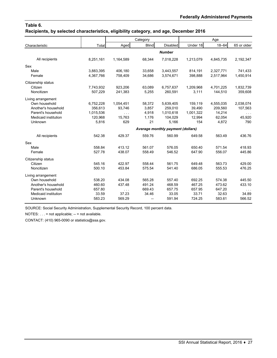## **Table 6. Recipients, by selected characteristics, eligibility category, and age, December 2016**

|                      |           |            | Category       |                                   |           | Age       |             |
|----------------------|-----------|------------|----------------|-----------------------------------|-----------|-----------|-------------|
| Characteristic       | Total     | Aged       | <b>Blind</b>   | Disabled                          | Under 18  | $18 - 64$ | 65 or older |
|                      |           |            |                | <b>Number</b>                     |           |           |             |
| All recipients       | 8,251,161 | 1,164,589  | 68,344         | 7,018,228                         | 1,213,079 | 4,845,735 | 2,192,347   |
| Sex                  |           |            |                |                                   |           |           |             |
| Male                 | 3,883,395 | 406,180    | 33,658         | 3,443,557                         | 814,191   | 2,327,771 | 741,433     |
| Female               | 4,367,766 | 758,409    | 34,686         | 3,574,671                         | 398,888   | 2,517,964 | 1,450,914   |
| Citizenship status   |           |            |                |                                   |           |           |             |
| Citizen              | 7,743,932 | 923,206    | 63,089         | 6,757,637                         | 1,209,968 | 4,701,225 | 1,832,739   |
| Noncitizen           | 507,229   | 241,383    | 5,255          | 260,591                           | 3,111     | 144,510   | 359,608     |
| Living arrangement   |           |            |                |                                   |           |           |             |
| Own household        | 6,752,228 | 1,054,451  | 58,372         | 5,639,405                         | 159,119   | 4,555,035 | 2,038,074   |
| Another's household  | 356,613   | 93,746     | 3,857          | 259,010                           | 39,490    | 209.560   | 107,563     |
| Parent's household   | 1,015,536 | $\sim 100$ | 4,918          | 1,010,618                         | 1,001,322 | 14,214    |             |
| Medicaid institution | 120,968   | 15,763     | 1,176          | 104,029                           | 12,994    | 62,054    | 45,920      |
| Unknown              | 5,816     | 629        | 21             | 5,166                             | 154       | 4,872     | 790         |
|                      |           |            |                | Average monthly payment (dollars) |           |           |             |
| All recipients       | 542.38    | 429.37     | 559.76         | 560.99                            | 649.58    | 563.49    | 436.76      |
| Sex                  |           |            |                |                                   |           |           |             |
| Male                 | 558.84    | 413.12     | 561.07         | 576.05                            | 650.40    | 571.54    | 418.93      |
| Female               | 527.78    | 438.07     | 558.49         | 546.52                            | 647.90    | 556.07    | 445.86      |
| Citizenship status   |           |            |                |                                   |           |           |             |
| Citizen              | 545.16    | 422.97     | 558.44         | 561.75                            | 649.48    | 563.73    | 429.00      |
| Noncitizen           | 500.10    | 453.84     | 575.54         | 541.40                            | 686.05    | 555.53    | 476.25      |
| Living arrangement   |           |            |                |                                   |           |           |             |
| Own household        | 538.20    | 434.08     | 565.28         | 557.40                            | 692.25    | 574.38    | 445.50      |
| Another's household  | 460.60    | 437.48     | 491.24         | 468.59                            | 467.25    | 473.62    | 433.10      |
| Parent's household   | 657.80    | $\sim 100$ | 669.43         | 657.75                            | 657.95    | 647.20    |             |
| Medicaid institution | 33.59     | 37.23      | 34.46          | 33.05                             | 33.71     | 32.63     | 34.89       |
| Unknown              | 583.23    | 569.29     | $\overline{a}$ | 591.94                            | 724.25    | 583.61    | 566.52      |

SOURCE: Social Security Administration, Supplemental Security Record, 100 percent data.

NOTES: . . . = not applicable; -- = not available.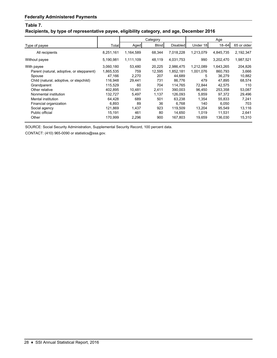## **Table 7.**

# **Recipients, by type of representative payee, eligibility category, and age, December 2016**

|                                           |           |           | Category     |                 |           | Age       |             |
|-------------------------------------------|-----------|-----------|--------------|-----------------|-----------|-----------|-------------|
| Type of payee                             | Total     | Aged      | <b>Blind</b> | <b>Disabled</b> | Under 18  | $18 - 64$ | 65 or older |
| All recipients                            | 8,251,161 | 1,164,589 | 68,344       | 7,018,228       | 1,213,079 | 4,845,735 | 2,192,347   |
| Without payee                             | 5,190,981 | 1,111,109 | 48,119       | 4,031,753       | 990       | 3,202,470 | 1,987,521   |
| With payee                                | 3,060,180 | 53,480    | 20,225       | 2,986,475       | 1,212,089 | 1,643,265 | 204,826     |
| Parent (natural, adoptive, or stepparent) | 1,865,535 | 759       | 12,595       | 1,852,181       | 1.001.076 | 860.793   | 3,666       |
| Spouse                                    | 47,166    | 2,270     | 207          | 44,689          | 5         | 36,279    | 10,882      |
| Child (natural, adoptive, or stepchild)   | 116,948   | 29,441    | 731          | 86.776          | 479       | 47,895    | 68,574      |
| Grandparent                               | 115,529   | 60        | 704          | 114,765         | 72,844    | 42,575    | 110         |
| Other relative                            | 402,895   | 10,481    | 2.411        | 390,003         | 96,450    | 253.358   | 53,087      |
| Nonmental institution                     | 132,727   | 5,497     | 1,137        | 126,093         | 5,859     | 97,372    | 29,496      |
| Mental institution                        | 64.428    | 689       | 501          | 63.238          | 1,354     | 55,833    | 7,241       |
| Financial organization                    | 6.893     | 89        | 36           | 6.768           | 140       | 6.050     | 703         |
| Social agency                             | 121.869   | 1,437     | 923          | 119.509         | 13,204    | 95.549    | 13,116      |
| Public official                           | 15,191    | 461       | 80           | 14.650          | 1,019     | 11,531    | 2,641       |
| Other                                     | 170,999   | 2,296     | 900          | 167,803         | 19,659    | 136,030   | 15,310      |

SOURCE: Social Security Administration, Supplemental Security Record, 100 percent data.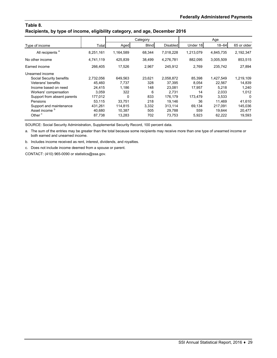## **Table 8. Recipients, by type of income, eligibility category, and age, December 2016**

|                             |           |           | Category     |                 |           | Age       |             |
|-----------------------------|-----------|-----------|--------------|-----------------|-----------|-----------|-------------|
| Type of income              | Total     | Aged      | <b>Blind</b> | <b>Disabled</b> | Under 18  | $18 - 64$ | 65 or older |
| All recipients <sup>a</sup> | 8,251,161 | 1,164,589 | 68.344       | 7,018,228       | 1,213,079 | 4,845,735 | 2,192,347   |
| No other income             | 4,741,119 | 425.839   | 38,499       | 4.276.781       | 882.095   | 3.005.509 | 853,515     |
| Earned income               | 266,405   | 17,526    | 2,967        | 245,912         | 2,769     | 235,742   | 27,894      |
| Unearned income             |           |           |              |                 |           |           |             |
| Social Security benefits    | 2,732,056 | 649,563   | 23,621       | 2,058,872       | 85,398    | 1,427,549 | 1,219,109   |
| Veterans' benefits          | 45,460    | 7.737     | 328          | 37,395          | 8.054     | 22,567    | 14,839      |
| Income based on need        | 24.415    | 1.186     | 148          | 23,081          | 17.957    | 5.218     | 1.240       |
| Workers' compensation       | 3.059     | 322       | 6            | 2.731           | 14        | 2.033     | 1.012       |
| Support from absent parents | 177,012   | $\Omega$  | 833          | 176,179         | 173,479   | 3.533     | $\Omega$    |
| Pensions                    | 53,115    | 33,751    | 218          | 19,146          | 36        | 11.469    | 41,610      |
| Support and maintenance     | 431.261   | 114.815   | 3.332        | 313,114         | 69.134    | 217.091   | 145,036     |
| Asset income <sup>b</sup>   | 40.680    | 10.387    | 505          | 29,788          | 559       | 19.644    | 20,477      |
| Other <sup>c</sup>          | 87,738    | 13,283    | 702          | 73,753          | 5,923     | 62,222    | 19,593      |

SOURCE: Social Security Administration, Supplemental Security Record, 100 percent data.

a. The sum of the entries may be greater than the total because some recipients may receive more than one type of unearned income or both earned and unearned income.

b. Includes income received as rent, interest, dividends, and royalties.

c. Does not include income deemed from a spouse or parent.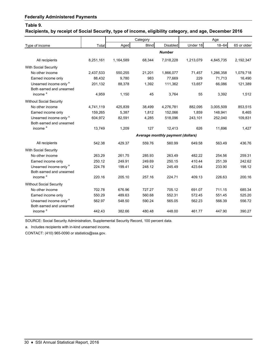## **Table 9.**

**Recipients, by receipt of Social Security, type of income, eligibility category, and age, December 2016**

|                                                               |           |           | Category     |                                   |           | Age       |             |
|---------------------------------------------------------------|-----------|-----------|--------------|-----------------------------------|-----------|-----------|-------------|
| Type of income                                                | Total     | Aged      | <b>Blind</b> | Disabled                          | Under 18  | $18 - 64$ | 65 or older |
|                                                               |           |           |              | <b>Number</b>                     |           |           |             |
| All recipients                                                | 8,251,161 | 1,164,589 | 68,344       | 7,018,228                         | 1,213,079 | 4,845,735 | 2,192,347   |
| <b>With Social Security</b>                                   |           |           |              |                                   |           |           |             |
| No other income                                               | 2,437,533 | 550,255   | 21,201       | 1,866,077                         | 71,457    | 1,286,358 | 1,079,718   |
| Earned income only                                            | 88,432    | 9,780     | 983          | 77,669                            | 229       | 71,713    | 16,490      |
| Unearned income only <sup>a</sup><br>Both earned and unearned | 201,132   | 88,378    | 1,392        | 111,362                           | 13,657    | 66,086    | 121,389     |
| income <sup>a</sup>                                           | 4,959     | 1,150     | 45           | 3,764                             | 55        | 3,392     | 1,512       |
| <b>Without Social Security</b>                                |           |           |              |                                   |           |           |             |
| No other income                                               | 4,741,119 | 425,839   | 38,499       | 4,276,781                         | 882,095   | 3,005,509 | 853,515     |
| Earned income only                                            | 159,265   | 5,387     | 1,812        | 152,066                           | 1,859     | 148,941   | 8,465       |
| Unearned income only <sup>a</sup><br>Both earned and unearned | 604,972   | 82,591    | 4,285        | 518,096                           | 243,101   | 252,040   | 109,831     |
| income <sup>a</sup>                                           | 13,749    | 1,209     | 127          | 12,413                            | 626       | 11,696    | 1,427       |
|                                                               |           |           |              | Average monthly payment (dollars) |           |           |             |
| All recipients                                                | 542.38    | 429.37    | 559.76       | 560.99                            | 649.58    | 563.49    | 436.76      |
| <b>With Social Security</b>                                   |           |           |              |                                   |           |           |             |
| No other income                                               | 263.29    | 261.75    | 285.93       | 263.49                            | 482.22    | 254.56    | 259.31      |
| Earned income only                                            | 250.12    | 249.91    | 249.69       | 250.15                            | 410.44    | 251.39    | 242.62      |
| Unearned income only <sup>a</sup>                             | 224.78    | 199.41    | 248.12       | 245.49                            | 423.64    | 233.90    | 198.12      |
| Both earned and unearned                                      |           |           |              |                                   |           |           |             |
| income <sup>a</sup>                                           | 220.16    | 205.10    | 257.16       | 224.71                            | 409.13    | 226.63    | 200.16      |
| <b>Without Social Security</b>                                |           |           |              |                                   |           |           |             |
| No other income                                               | 702.78    | 676.96    | 727.27       | 705.12                            | 691.07    | 711.15    | 685.34      |
| Earned income only                                            | 550.29    | 489.63    | 560.68       | 552.31                            | 572.45    | 551.45    | 525.20      |
| Unearned income only <sup>a</sup>                             | 562.97    | 548.50    | 590.24       | 565.05                            | 562.23    | 566.39    | 556.72      |
| Both earned and unearned                                      |           |           |              |                                   |           |           |             |
| income <sup>a</sup>                                           | 442.43    | 382.66    | 480.48       | 448.00                            | 461.77    | 447.90    | 390.27      |

SOURCE: Social Security Administration, Supplemental Security Record, 100 percent data.

a. Includes recipients with in-kind unearned income.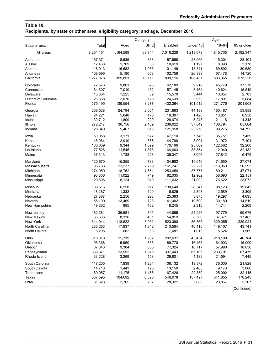## **Table 10. Recipients, by state or other area, eligibility category, and age, December 2016**

|                      |           |           | Category     |           |           | Age       |             |
|----------------------|-----------|-----------|--------------|-----------|-----------|-----------|-------------|
| State or area        | Total     | Aged      | <b>Blind</b> | Disabled  | Under 18  | $18 - 64$ | 65 or older |
| All areas            | 8,251,161 | 1,164,589 | 68,344       | 7,018,228 | 1,213,079 | 4,845,735 | 2,192,347   |
| Alabama              | 167,371   | 8,635     | 868          | 157,868   | 23,966    | 115,304   | 28,101      |
| Alaska               | 12,468    | 1,769     | 80           | 10,619    | 1,197     | 8,093     | 3,178       |
| Arizona              | 118,913   | 16,682    | 1,085        | 101,146   | 18,341    | 69,892    | 30,680      |
| Arkansas             | 108,596   | 5,180     | 658          | 102,758   | 26,398    | 67,478    | 14,720      |
| California           | 1,277,078 | 359,851   | 18,111       | 899,116   | 108,487   | 593,365   | 575,226     |
| Colorado             | 72,576    | 9,861     | 526          | 62,189    | 9,219     | 45,779    | 17,578      |
| Connecticut          | 64,607    | 7,010     | 452          | 57,145    | 8,464     | 40,624    | 15,519      |
| Delaware             | 16,884    | 1,225     | 89           | 15,570    | 3,444     | 10,657    | 2,783       |
| District of Columbia | 26,838    | 2,070     | 129          | 24,639    | 3,953     | 17,801    | 5,084       |
| Florida              | 575,195   | 139,554   | 3,277        | 432,364   | 101,512   | 271,775   | 201,908     |
| Georgia              | 258,528   | 24,794    | 2,051        | 231,683   | 44,183    | 160,487   | 53,858      |
| Hawaii               | 24,221    | 5,648     | 176          | 18,397    | 1,420     | 13,851    | 8,950       |
| Idaho                | 30,712    | 1,809     | 229          | 28,674    | 5,248     | 21,116    | 4,348       |
| Illinois             | 272,247   | 30,756    | 2,469        | 239,022   | 37,849    | 168,794   | 65,604      |
| Indiana              | 128,340   | 5,467     | 915          | 121,958   | 23,270    | 90,275    | 14,795      |
| lowa                 | 50,958    | 3,171     | 677          | 47,110    | 7,748     | 35,751    | 7,459       |
| Kansas               | 48,064    | 2,910     | 366          | 44,788    | 8,991     | 31,972    | 7,101       |
| Kentucky             | 180,639   | 9,344     | 1,099        | 170,196   | 25,869    | 122,562   | 32,208      |
| Louisiana            | 177,526   | 11,545    | 1,378        | 164,603   | 33,354    | 112,040   | 32,132      |
| Maine                | 37,313    | 1,738     | 228          | 35,347    | 3,996     | 27,842    | 5,475       |
| Maryland             | 120,670   | 15,255    | 733          | 104,682   | 19,046    | 74,550    | 27,074      |
| Massachusetts        | 186,783   | 23,237    | 2,299        | 161,247   | 22,227    | 113,963   | 50,593      |
| Michigan             | 274,059   | 18,752    | 1,651        | 253,656   | 37,777    | 189,211   | 47,071      |
| Minnesota            | 93,806    | 11,022    | 749          | 82,035    | 12,962    | 58,693    | 22,151      |
| Mississippi          | 120,696   | 8,124     | 940          | 111,632   | 21,002    | 76,622    | 23,072      |
| Missouri             | 138,515   | 6,958     | 917          | 130,640   | 20,547    | 98,123    | 19,845      |
| Montana              | 18,287    | 1,332     | 129          | 16,826    | 2,393     | 12,589    | 3,305       |
| Nebraska             | 27,867    | 2,256     | 228          | 25,383    | 3,875     | 19,297    | 4,695       |
| Nevada               | 55,199    | 13,469    | 728          | 41,002    | 10,500    | 30,180    | 14,519      |
| New Hampshire        | 19,262    | 885       | 132          | 18,245    | 2,310     | 14,744    | 2,208       |
| New Jersey           | 182,381   | 36,681    | 805          | 144,895   | 24,926    | 97,779    | 59,676      |
| New Mexico           | 63,636    | 8,336     | 481          | 54,819    | 8,500     | 37,671    | 17,465      |
| New York             | 644,944   | 118,522   | 3,032        | 523,390   | 86,865    | 329,055   | 229,024     |
| North Carolina       | 233,263   | 17,837    | 1,842        | 213,584   | 40,415    | 149,107   | 43,741      |
| North Dakota         | 8,206     | 662       | 63           | 7,481     | 1,013     | 5,624     | 1,569       |
| Ohio                 | 310,318   | 15,719    | 1,962        | 292,637   | 45,434    | 218,100   | 46,784      |
| Oklahoma             | 96,368    | 5,960     | 638          | 89,770    | 16,465    | 64,903    | 15,000      |
| Oregon               | 87,343    | 9,384     | 635          | 77,324    | 10,717    | 57,990    | 18,636      |
| Pennsylvania         | 363,371   | 23,952    | 1,976        | 337,443   | 65,105    | 230,791   | 67,475      |
| Rhode Island         | 33,228    | 3,269     | 158          | 29,801    | 4,189     | 21,594    | 7,445       |
| South Carolina       | 117,205   | 7,839     | 1,234        | 108,132   | 19,372    | 76,005    | 21,828      |
| South Dakota         | 14,718    | 1,443     | 125          | 13,150    | 2,465     | 9,173     | 3,080       |
| Tennessee            | 180,057   | 11,175    | 1,456        | 167,426   | 22,850    | 125,092   | 32,115      |
| Texas                | 657,595   | 104,692   | 6,825        | 546,078   | 137,497   | 341,855   | 178,243     |
| Utah                 | 31,323    | 2,765     | 237          | 28,321    | 5,089     | 20,867    | 5,367       |
|                      |           |           |              |           |           |           | (Continued) |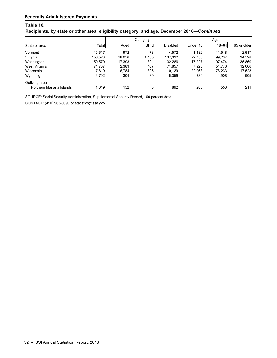## **Table 10.**

# **Recipients, by state or other area, eligibility category, and age, December 2016—***Continued*

|                          |         |        | Category     |                 |          | Age       |             |
|--------------------------|---------|--------|--------------|-----------------|----------|-----------|-------------|
| State or area            | Total   | Aged   | <b>Blind</b> | <b>Disabled</b> | Under 18 | $18 - 64$ | 65 or older |
| Vermont                  | 15.617  | 972    | 73           | 14.572          | 1.482    | 11.518    | 2,617       |
| Virginia                 | 156.523 | 18.056 | 1,135        | 137.332         | 22.758   | 99.237    | 34,528      |
| Washington               | 150.570 | 17.393 | 891          | 132.286         | 17.227   | 97.474    | 35,869      |
| West Virginia            | 74.707  | 2,383  | 467          | 71.857          | 7,925    | 54,776    | 12,006      |
| Wisconsin                | 117.819 | 6,784  | 896          | 110.139         | 22.063   | 78.233    | 17,523      |
| Wyoming                  | 6,702   | 304    | 39           | 6,359           | 889      | 4,908     | 905         |
| Outlying area            |         |        |              |                 |          |           |             |
| Northern Mariana Islands | 1.049   | 152    | 5            | 892             | 285      | 553       | 211         |

SOURCE: Social Security Administration, Supplemental Security Record, 100 percent data.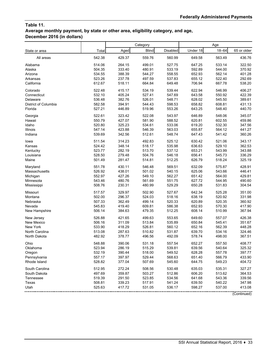## **Table 11. Average monthly payment, by state or other area, eligibility category, and age, December 2016 (in dollars)**

|                      |        |        | Category     |          |          | Age       |             |
|----------------------|--------|--------|--------------|----------|----------|-----------|-------------|
| State or area        | Total  | Aged   | <b>Blind</b> | Disabled | Under 18 | $18 - 64$ | 65 or older |
| All areas            | 542.38 | 429.37 | 559.76       | 560.99   | 649.58   | 563.49    | 436.76      |
| Alabama              | 514.06 | 264.15 | 499.01       | 527.75   | 647.25   | 533.14    | 322.50      |
| Alaska               | 504.35 | 333.40 | 480.91       | 533.19   | 592.89   | 544.00    | 370.92      |
| Arizona              | 534.55 | 388.39 | 544.27       | 558.55   | 652.93   | 562.14    | 401.28      |
| Arkansas             | 523.26 | 237.78 | 497.59       | 537.83   | 655.12   | 522.40    | 292.69      |
| California           | 612.67 | 518.11 | 664.84       | 649.48   | 706.94   | 667.78    | 538.20      |
| Colorado             | 522.48 | 415.17 | 534.19       | 539.44   | 622.94   | 546.99    | 406.27      |
| Connecticut          | 532.10 | 405.24 | 527.41       | 547.69   | 643.58   | 550.92    | 422.39      |
| Delaware             | 536.48 | 382.76 | 526.01       | 548.71   | 628.02   | 545.50    | 389.61      |
| District of Columbia | 582.58 | 394.91 | 544.43       | 598.53   | 658.82   | 608.81    | 431.13      |
| Florida              | 527.21 | 446.89 | 519.96       | 553.26   | 643.25   | 548.40    | 440.70      |
| Georgia              | 522.61 | 323.42 | 522.08       | 543.97   | 646.89   | 548.06    | 345.07      |
| Hawaii               | 550.79 | 427.07 | 581.90       | 588.52   | 620.81   | 602.55    | 459.86      |
| Idaho                | 520.80 | 325.23 | 534.61       | 533.06   | 619.20   | 532.30    | 347.56      |
| Illinois             | 547.14 | 423.88 | 546.39       | 563.03   | 655.87   | 564.12    | 441.27      |
| Indiana              | 539.69 | 342.56 | 512.61       | 548.74   | 647.43   | 541.42    | 360.26      |
| lowa                 | 511.54 | 314.23 | 492.83       | 525.12   | 630.42   | 521.06    | 343.17      |
| Kansas               | 524.42 | 348.14 | 518.17       | 535.98   | 636.63   | 529.10    | 362.53      |
| Kentucky             | 523.77 | 282.19 | 513.70       | 537.12   | 653.21   | 543.99    | 343.88      |
| Louisiana            | 528.50 | 279.48 | 504.76       | 546.18   | 656.41   | 545.73    | 336.29      |
| Maine                | 501.49 | 281.47 | 514.81       | 512.25   | 626.79   | 518.24    | 325.19      |
| Maryland             | 551.78 | 430.11 | 546.48       | 569.51   | 632.09   | 575.87    | 428.91      |
| Massachusetts        | 526.92 | 438.01 | 501.02       | 540.15   | 625.06   | 543.66    | 446.41      |
| Michigan             | 552.97 | 427.26 | 549.10       | 562.27   | 651.42   | 564.00    | 429.81      |
| Minnesota            | 543.46 | 480.76 | 561.69       | 551.75   | 627.72   | 544.95    | 490.60      |
| Mississippi          | 508.76 | 230.31 | 480.99       | 529.29   | 650.28   | 531.83    | 304.54      |
| Missouri             | 517.57 | 329.97 | 502.90       | 527.67   | 642.34   | 525.28    | 351.00      |
| Montana              | 502.00 | 296.37 | 524.03       | 518.16   | 638.19   | 520.92    | 331.98      |
| Nebraska             | 507.33 | 362.49 | 499.14       | 520.33   | 620.89   | 520.35    | 360.92      |
| Nevada               | 545.83 | 419.40 | 609.81       | 586.38   | 652.93   | 570.30    | 417.90      |
| New Hampshire        | 506.14 | 384.63 | 479.35       | 512.25   | 608.14   | 510.99    | 367.94      |
| New Jersey           | 526.88 | 421.65 | 499.63       | 553.65   | 649.60   | 557.07    | 426.38      |
| New Mexico           | 506.16 | 311.09 | 513.84       | 535.89   | 650.84   | 545.41    | 351.67      |
| New York             | 533.90 | 418.29 | 526.81       | 560.12   | 652.16   | 562.39    | 448.28      |
| North Carolina       | 513.08 | 287.63 | 510.82       | 531.87   | 639.70   | 534.16    | 324.46      |
| North Dakota         | 482.92 | 378.77 | 496.56       | 492.09   | 578.74   | 498.00    | 367.51      |
| Ohio                 | 548.88 | 390.06 | 531.18       | 557.54   | 652.27   | 557.50    | 408.77      |
| Oklahoma             | 523.94 | 286.19 | 515.29       | 539.81   | 639.56   | 540.64    | 325.32      |
| Oregon               | 532.19 | 390.44 | 518.00       | 549.52   | 628.28   | 557.78    | 397.77      |
| Pennsylvania         | 557.17 | 397.97 | 529.44       | 568.63   | 651.40   | 566.79    | 433.90      |
| Rhode Island         | 528.82 | 377.04 | 507.69       | 545.60   | 644.75   | 549.23    | 404.72      |
| South Carolina       | 512.95 | 272.24 | 508.56       | 530.48   | 635.03   | 535.31    | 327.27      |
| South Dakota         | 497.69 | 359.87 | 503.27       | 512.86   | 606.20   | 513.62    | 364.53      |
| Tennessee            | 519.39 | 291.50 | 523.85       | 534.56   | 641.68   | 543.36    | 339.56      |
| Texas                | 508.81 | 339.23 | 517.91       | 541.24   | 639.50   | 540.22    | 347.98      |
| Utah                 | 525.63 | 417.72 | 531.05       | 536.17   | 598.27   | 537.00    | 413.08      |
|                      |        |        |              |          |          |           |             |

(Continued)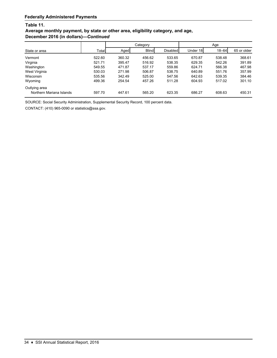#### **Table 11.**

## **Average monthly payment, by state or other area, eligibility category, and age, December 2016 (in dollars)—***Continued*

|                          |        | Category |              |                 | Age      |           |             |  |
|--------------------------|--------|----------|--------------|-----------------|----------|-----------|-------------|--|
| State or area            | Total  | Aged     | <b>Blind</b> | <b>Disabled</b> | Under 18 | $18 - 64$ | 65 or older |  |
| Vermont                  | 522.60 | 360.32   | 456.62       | 533.65          | 670.87   | 538.48    | 368.61      |  |
| Virginia                 | 521.71 | 395.47   | 516.92       | 538.35          | 629.35   | 542.26    | 391.89      |  |
| Washington               | 549.55 | 471.87   | 537.17       | 559.86          | 624.71   | 566.38    | 467.98      |  |
| West Virginia            | 530.03 | 271.98   | 506.87       | 538.75          | 640.89   | 551.76    | 357.99      |  |
| <b>Wisconsin</b>         | 535.56 | 342.49   | 525.00       | 547.56          | 642.63   | 539.35    | 384.46      |  |
| Wyoming                  | 499.36 | 254.54   | 457.26       | 511.28          | 604.93   | 517.02    | 301.10      |  |
| Outlying area            |        |          |              |                 |          |           |             |  |
| Northern Mariana Islands | 597.70 | 447.61   | 565.20       | 623.35          | 686.27   | 608.63    | 450.31      |  |

SOURCE: Social Security Administration, Supplemental Security Record, 100 percent data.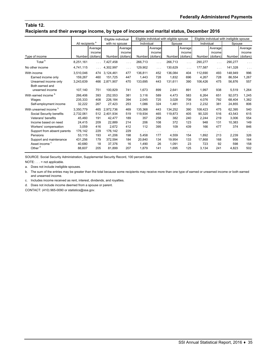## **Table 12. Recipients and their average income, by type of income and marital status, December 2016**

|                                 |                             |           | Eligible individual |           |            |                      | Eligible individual with eligible spouse |                      |                      |           | Eligible individual with ineligible spouse |                      |
|---------------------------------|-----------------------------|-----------|---------------------|-----------|------------|----------------------|------------------------------------------|----------------------|----------------------|-----------|--------------------------------------------|----------------------|
|                                 | All recipients <sup>a</sup> |           | with no spouse      |           | Individual |                      | Spouse                                   |                      | Individual           |           | Spouse                                     |                      |
|                                 |                             | Average   |                     | Average   |            | Average              |                                          | Average              |                      | Average   |                                            | Average              |
|                                 |                             | income    |                     | income    |            | income               |                                          | income               |                      | income    |                                            | income               |
| Type of income                  | Number                      | (dollars) | Number              | (dollars) | Number     | (dollars)            |                                          | Number (dollars)     | Number               | (dollars) | Number                                     | (dollars)            |
| Total <sup>b</sup>              | 8,251,161                   | $\cdots$  | 7.427.458           | $\cdots$  | 266,713    | $\cdots$             | 266,713                                  | $\cdots$             | 290,277              | .         | 290,277                                    | $\cdots$             |
| No other income                 | 4,741,115                   | $\ldots$  | 4.302.997           | $\ldots$  | 129,902    | $\sim$ $\sim$ $\sim$ | 130.629                                  | $\ldots$             | 177.587              | $\cdots$  | 141.328                                    | $\ldots$             |
| With income                     | 3,510,046                   | 474       | 3,124,461           | 477       | 136,811    | 452                  | 136.084                                  | 404                  | 112.690              | 493       | 148,949                                    | 996                  |
| Earned income only              | 159.267                     | 460       | 151.725             | 447       | 1,443      | 728                  | 1,832                                    | 696                  | 4,267                | 728       | 86,554                                     | 1,267                |
| Unearned income only            | 3,243,639                   | 466       | 2.871.907           | 470       | 133,695    | 443                  | 131,611                                  | 390                  | 106,426              | 475       | 56,876                                     | 557                  |
| Both earned and                 |                             |           |                     |           |            |                      |                                          |                      |                      |           |                                            |                      |
| unearned income                 | 107,140                     | 751       | 100,829             | 741       | 1,673      | 899                  | 2,641                                    | 891                  | 1,997                | 938       | 5,519                                      | 1,264                |
| With earned income <sup>b</sup> | 266.406                     | 393       | 252.553             | 381       | 3.116      | 589                  | 4.473                                    | 583                  | 6.264                | 651       | 92.073                                     | 1.245                |
| Wages                           | 235,333                     | 408       | 226,184             | 394       | 2,045      | 725                  | 3,028                                    | 708                  | 4,076                | 792       | 68,404                                     | 1,382                |
| Self-employment income          | 32,222                      | 267       | 27,423              | 253       | 1,086      | 324                  | 1,481                                    | 313                  | 2,232                | 381       | 24,855                                     | 806                  |
| With unearned income b          | 3,350,779                   | 465       | 2.972.736           | 469       | 135.368    | 443                  | 134.252                                  | 390                  | 108.423              | 475       | 62.395                                     | 540                  |
| Social Security benefits        | 2.732.061                   | 512       | 2.401.934           | 519       | 119.934    | 465                  | 119.873                                  | 405                  | 90.320               | 516       | 43,543                                     | 615                  |
| Veterans' benefits              | 45,460                      | 191       | 42,477              | 189       | 357        | 258                  | 382                                      | 240                  | 2,244                | 219       | 3,006                                      | 554                  |
| Income based on need            | 24.415                      | 209       | 22,889              | 214       | 206        | 108                  | 372                                      | 123                  | 948                  | 131       | 10,383                                     | 149                  |
| Workers' compensation           | 3.059                       | 416       | 2.672               | 412       | 112        | 395                  | 109                                      | 439                  | 166                  | 477       | 374                                        | 846                  |
| Support from absent parents     | 176,142                     | 229       | 176.142             | 229       | $\cdots$   | $\cdots$             | $\sim$ $\sim$ $\sim$                     | $\sim$ $\sim$ $\sim$ | $\sim$ $\sim$ $\sim$ | $\cdots$  | $\sim$ $\sim$ $\sim$                       | $\sim$ $\sim$ $\sim$ |
| Pensions                        | 53,115                      | 193       | 41,206              | 198       | 5,458      | 177                  | 4,559                                    | 154                  | 1,892                | 213       | 2,239                                      | 326                  |
| Support and maintenance         | 431,256                     | 179       | 372,594             | 184       | 20.840     | 134                  | 19.954                                   | 133                  | 17.868               | 168       | 956                                        | 164                  |
| Asset income <sup>c</sup>       | 40,680                      | 18        | 37,376              | 16        | 1,490      | 26                   | 1,091                                    | 23                   | 723                  | 92        | 598                                        | 158                  |
| Other <sup>d</sup>              | 88,607                      | 205       | 81,899              | 207       | 1,879      | 141                  | 1,695                                    | 125                  | 3,134                | 241       | 4,823                                      | 502                  |

SOURCE: Social Security Administration, Supplemental Security Record, 100 percent data.

NOTE: . . . = not applicable.

a. Does not include ineligible spouses.

b. The sum of the entries may be greater than the total because some recipients may receive more than one type of earned or unearned income or both earned and unearned income.

c. Includes income received as rent, interest, dividends, and royalties.

d. Does not include income deemed from a spouse or parent.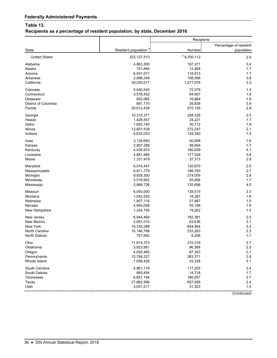## **Table 13.**

# **Recipients as a percentage of resident population, by state, December 2016**

|                                                              |                                                              | Recipients                                        |                                                |
|--------------------------------------------------------------|--------------------------------------------------------------|---------------------------------------------------|------------------------------------------------|
| State                                                        | Resident population <sup>a</sup>                             | Number                                            | Percentage of resident<br>population           |
| <b>United States</b>                                         | 323, 127, 513                                                | $b$ 8,250,112                                     | 2.6                                            |
| Alabama                                                      | 4,863,300                                                    | 167,371                                           | 3.4                                            |
| Alaska                                                       | 741,894                                                      | 12,468                                            | 1.7                                            |
| Arizona                                                      | 6,931,071                                                    | 118,913                                           | 1.7                                            |
| Arkansas                                                     | 2,988,248                                                    | 108,596                                           | 3.6                                            |
| California                                                   | 39,250,017                                                   | 1,277,078                                         | 3.3                                            |
| Colorado                                                     | 5,540,545                                                    | 72,576                                            | 1.3                                            |
| Connecticut                                                  | 3,576,452                                                    | 64,607                                            | 1.8                                            |
| Delaware                                                     | 952,065                                                      | 16,884                                            | 1.8                                            |
| District of Columbia                                         | 681,170                                                      | 26,838                                            | 3.9                                            |
| Florida                                                      | 20,612,439                                                   | 575,195                                           | 2.8                                            |
| Georgia                                                      | 10,310,371                                                   | 258,528                                           | 2.5                                            |
| Hawaii                                                       | 1,428,557                                                    | 24,221                                            | 1.7                                            |
| Idaho                                                        | 1,683,140                                                    | 30,712                                            | 1.8                                            |
| Illinois                                                     | 12,801,539                                                   | 272,247                                           | 2.1                                            |
| Indiana                                                      | 6,633,053                                                    | 128,340                                           | 1.9                                            |
| lowa                                                         | 3,134,693                                                    | 50,958                                            | 1.6                                            |
| Kansas                                                       | 2,907,289                                                    | 48,064                                            | 1.7                                            |
| Kentucky                                                     | 4,436,974                                                    | 180,639                                           | 4.1                                            |
| Louisiana                                                    | 4,681,666                                                    | 177,526                                           | 3.8                                            |
| Maine                                                        | 1,331,479                                                    | 37,313                                            | 2.8                                            |
| Maryland                                                     | 6,016,447                                                    | 120,670                                           | 2.0                                            |
| Massachusetts                                                | 6,811,779                                                    | 186,783                                           | 2.7                                            |
| Michigan                                                     | 9,928,300                                                    | 274,059                                           | 2.8                                            |
| Minnesota                                                    | 5,519,952                                                    | 93,806                                            | 1.7                                            |
| Mississippi                                                  | 2,988,726                                                    | 120,696                                           | 4.0                                            |
| Missouri                                                     | 6,093,000                                                    | 138,515                                           | 2.3                                            |
| Montana                                                      | 1,042,520                                                    | 18,287                                            | 1.8                                            |
| Nebraska                                                     | 1,907,116                                                    | 27,867                                            | 1.5                                            |
| Nevada                                                       | 2,940,058                                                    | 55,199                                            | 1.9                                            |
| New Hampshire                                                | 1,334,795                                                    | 19,262                                            | 1.4                                            |
| New Jersey                                                   | 8,944,469                                                    | 182,381                                           | 2.0                                            |
| New Mexico                                                   | 2,081,015                                                    | 63,636                                            | 3.1                                            |
| New York                                                     | 19,745,289                                                   | 644,944                                           | 3.3                                            |
| North Carolina                                               | 10,146,788                                                   | 233,263                                           | 2.3                                            |
| North Dakota                                                 | 757,952                                                      | 8,206                                             | 1.1                                            |
| Ohio                                                         | 11,614,373                                                   | 310,318                                           | 2.7                                            |
| Oklahoma                                                     | 3,923,561                                                    | 96,368                                            | 2.5                                            |
| Oregon                                                       | 4,093,465                                                    | 87,343                                            | 2.1                                            |
| Pennsylvania                                                 | 12,784,227                                                   | 363,371                                           | 2.8                                            |
| Rhode Island                                                 | 1,056,426                                                    | 33,228                                            | 3.1                                            |
| South Carolina<br>South Dakota<br>Tennessee<br>Texas<br>Utah | 4,961,119<br>865,454<br>6,651,194<br>27,862,596<br>3,051,217 | 117,205<br>14,718<br>180,057<br>657,595<br>31,323 | 2.4<br>1.7<br>2.7<br>2.4<br>1.0<br>(Continued) |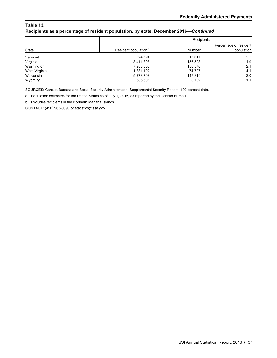## **Table 13. Recipients as a percentage of resident population, by state, December 2016—***Continued*

|               |                                  | Recipients |                                      |  |
|---------------|----------------------------------|------------|--------------------------------------|--|
| State         | Resident population <sup>a</sup> | Number     | Percentage of resident<br>population |  |
| Vermont       | 624.594                          | 15.617     | 2.5                                  |  |
| Virginia      | 8,411,808                        | 156,523    | 1.9                                  |  |
| Washington    | 7,288,000                        | 150,570    | 2.1                                  |  |
| West Virginia | 1,831,102                        | 74,707     | 4.1                                  |  |
| Wisconsin     | 5,778,708                        | 117,819    | 2.0                                  |  |
| Wyoming       | 585,501                          | 6,702      | 1.1                                  |  |

SOURCES: Census Bureau; and Social Security Administration, Supplemental Security Record, 100 percent data.

a. Population estimates for the United States as of July 1, 2016, as reported by the Census Bureau.

b. Excludes recipients in the Northern Mariana Islands.